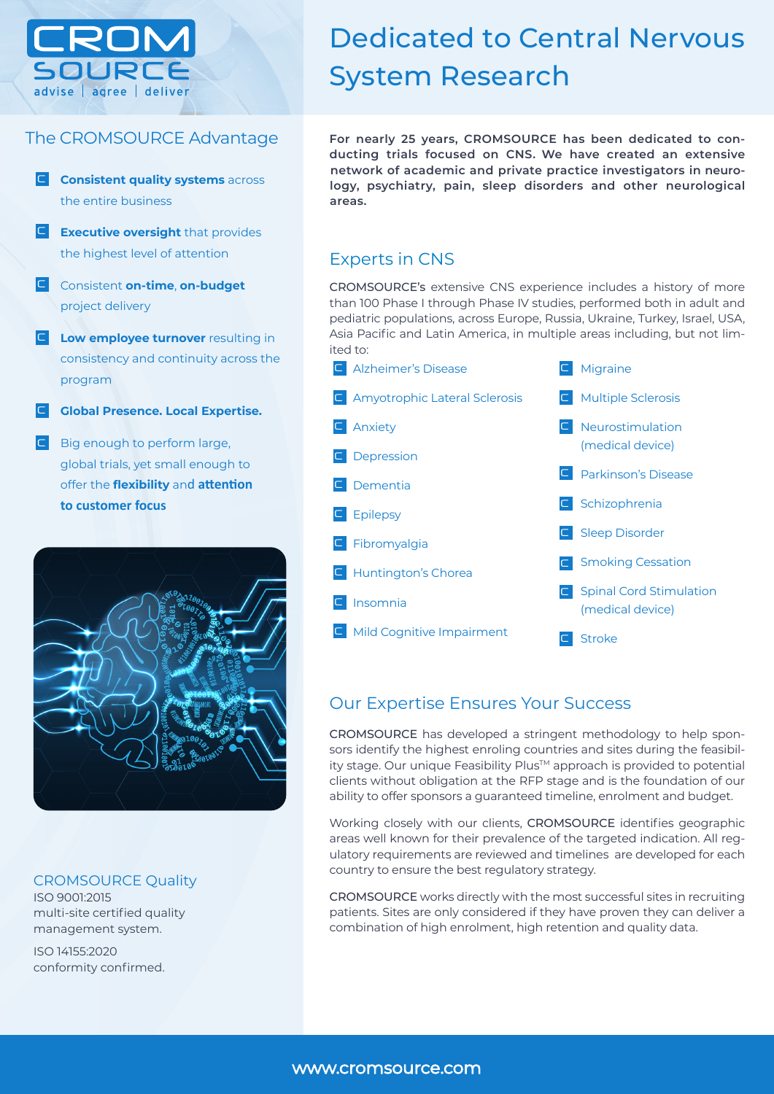

# The CROMSOURCE Advantage

- **C Consistent quality systems** across the entire business
- **E Executive oversight** that provides the highest level of attention
- Consistent **on-time**, **on-budget** C project delivery
- **Low employee turnover** resulting in consistency and continuity across the program

**• Global Presence. Local Expertise.** C

 $\blacksquare$  Big enough to perform large, global trials, yet small enough to offer the **flexibility** and **attention to customer focus**



## CROMSOURCE Quality

ISO 9001:2015 multi-site certified quality management system.

ISO 14155:2020 conformity confirmed.

# Dedicated to Central Nervous System Research

**For nearly 25 years, CROMSOURCE has been dedicated to conducting trials focused on CNS. We have created an extensive network of academic and private practice investigators in neurology, psychiatry, pain, sleep disorders and other neurological areas.**

# Experts in CNS

CROMSOURCE's extensive CNS experience includes a history of more than 100 Phase I through Phase IV studies, performed both in adult and pediatric populations, across Europe, Russia, Ukraine, Turkey, Israel, USA, Asia Pacific and Latin America, in multiple areas including, but not limited to:



# Our Expertise Ensures Your Success

CROMSOURCE has developed a stringent methodology to help sponsors identify the highest enroling countries and sites during the feasibility stage. Our unique Feasibility Plus™ approach is provided to potential clients without obligation at the RFP stage and is the foundation of our ability to offer sponsors a guaranteed timeline, enrolment and budget.

Working closely with our clients, CROMSOURCE identifies geographic areas well known for their prevalence of the targeted indication. All regulatory requirements are reviewed and timelines are developed for each country to ensure the best regulatory strategy.

CROMSOURCE works directly with the most successful sites in recruiting patients. Sites are only considered if they have proven they can deliver a combination of high enrolment, high retention and quality data.